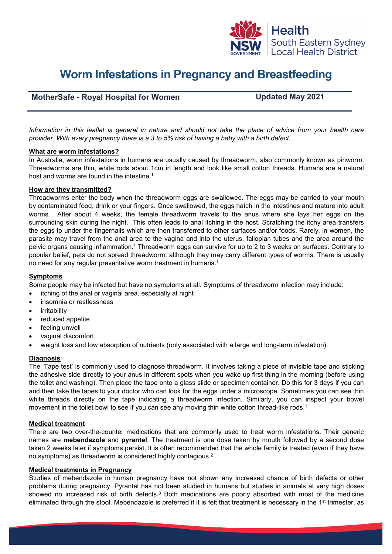

# **Worm Infestations in Pregnancy and Breastfeeding**

# **MotherSafe - Royal Hospital for Women Updated May 2021**

*Information in this leaflet is general in nature and should not take the place of advice from your health care provider. With every pregnancy there is a 3 to 5% risk of having a baby with a birth defect.*

## **What are worm infestations?**

In Australia, worm infestations in humans are usually caused by threadworm, also commonly known as pinworm. Threadworms are thin, white rods about 1cm in length and look like small cotton threads. Humans are a natural host and worms are found in the intestine. 1

## **How are they transmitted?**

Threadworms enter the body when the threadworm eggs are swallowed. The eggs may be carried to your mouth by contaminated food, drink or your fingers. Once swallowed, the eggs hatch in the intestines and mature into adult worms. After about 4 weeks, the female threadworm travels to the anus where she lays her eggs on the surrounding skin during the night. This often leads to anal itching in the host. Scratching the itchy area transfers the eggs to under the fingernails which are then transferred to other surfaces and/or foods. Rarely, in women, the parasite may travel from the anal area to the vagina and into the uterus, fallopian tubes and the area around the pelvic organs causing inflammation.<sup>1</sup> Threadworm eggs can survive for up to 2 to 3 weeks on surfaces. Contrary to popular belief, pets do not spread threadworm, although they may carry different types of worms. There is usually no need for any regular preventative worm treatment in humans.<sup>1</sup>

### **Symptoms**

Some people may be infected but have no symptoms at all. Symptoms of threadworm infection may include:

- itching of the anal or vaginal area, especially at night
- insomnia or restlessness
- **irritability**
- reduced appetite
- feeling unwell
- vaginal discomfort
- weight loss and low absorption of nutrients (only associated with a large and long-term infestation)

#### **Diagnosis**

The 'Tape test' is commonly used to diagnose threadworm. It involves taking a piece of invisible tape and sticking the adhesive side directly to your anus in different spots when you wake up first thing in the morning (before using the toilet and washing). Then place the tape onto a glass slide or specimen container. Do this for 3 days if you can and then take the tapes to your doctor who can look for the eggs under a microscope. Sometimes you can see thin white threads directly on the tape indicating a threadworm infection. Similarly, you can inspect your bowel movement in the toilet bowl to see if you can see any moving thin white cotton thread-like rods. 1

#### **Medical treatment**

There are two over-the-counter medications that are commonly used to treat worm infestations. Their generic names are **mebendazole** and **pyrantel**. The treatment is one dose taken by mouth followed by a second dose taken 2 weeks later if symptoms persist. It is often recommended that the whole family is treated (even if they have no symptoms) as threadworm is considered highly contagious.2

#### **Medical treatments in Pregnancy**

Studies of mebendazole in human pregnancy have not shown any increased chance of birth defects or other problems during pregnancy. Pyrantel has not been studied in humans but studies in animals at very high doses showed no increased risk of birth defects.<sup>3</sup> Both medications are poorly absorbed with most of the medicine eliminated through the stool. Mebendazole is preferred if it is felt that treatment is necessary in the  $1<sup>st</sup>$  trimester, as